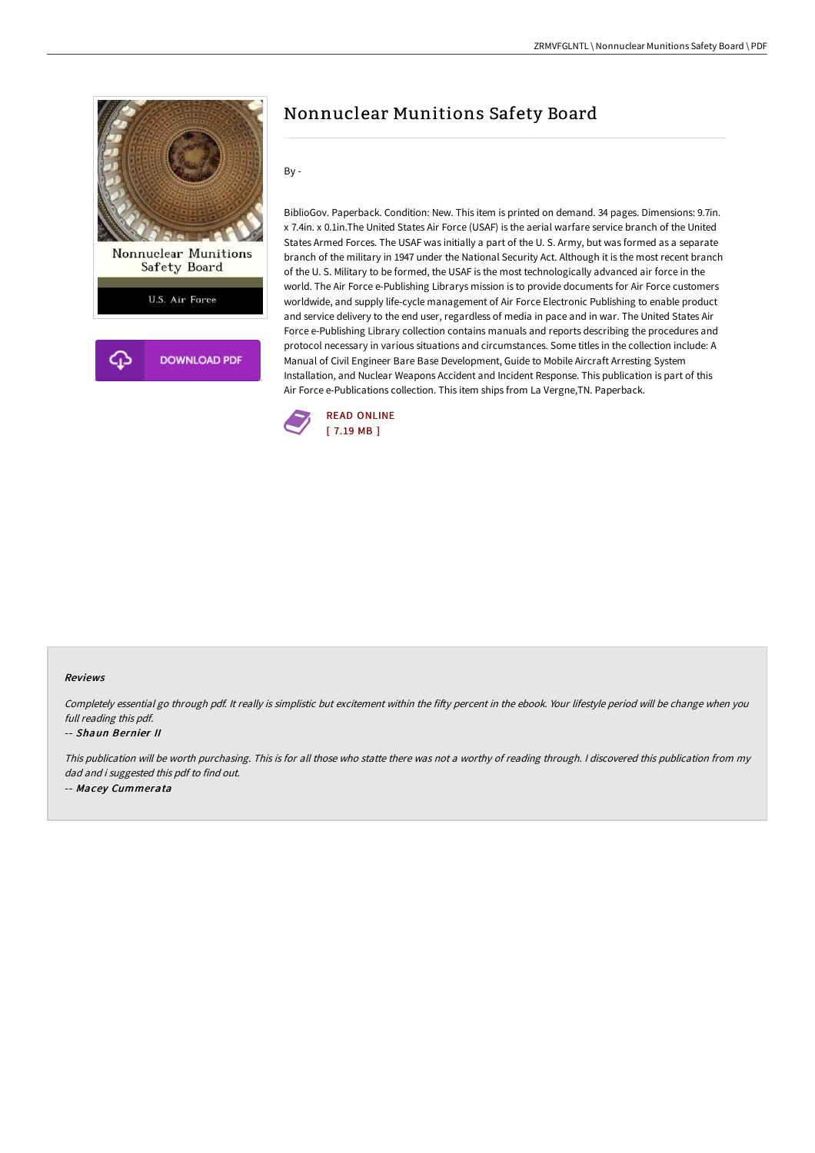

## Nonnuclear Munitions Safety Board

By -

BiblioGov. Paperback. Condition: New. This item is printed on demand. 34 pages. Dimensions: 9.7in. x 7.4in. x 0.1in.The United States Air Force (USAF) is the aerial warfare service branch of the United States Armed Forces. The USAF was initially a part of the U. S. Army, but was formed as a separate branch of the military in 1947 under the National Security Act. Although it is the most recent branch of the U. S. Military to be formed, the USAF is the most technologically advanced air force in the world. The Air Force e-Publishing Librarys mission is to provide documents for Air Force customers worldwide, and supply life-cycle management of Air Force Electronic Publishing to enable product and service delivery to the end user, regardless of media in pace and in war. The United States Air Force e-Publishing Library collection contains manuals and reports describing the procedures and protocol necessary in various situations and circumstances. Some titles in the collection include: A Manual of Civil Engineer Bare Base Development, Guide to Mobile Aircraft Arresting System Installation, and Nuclear Weapons Accident and Incident Response. This publication is part of this Air Force e-Publications collection. This item ships from La Vergne,TN. Paperback.



## Reviews

Completely essential go through pdf. It really is simplistic but excitement within the fifty percent in the ebook. Your lifestyle period will be change when you full reading this pdf.

## -- Shaun Bernier II

This publication will be worth purchasing. This is for all those who statte there was not <sup>a</sup> worthy of reading through. <sup>I</sup> discovered this publication from my dad and i suggested this pdf to find out. -- Macey Cummerata